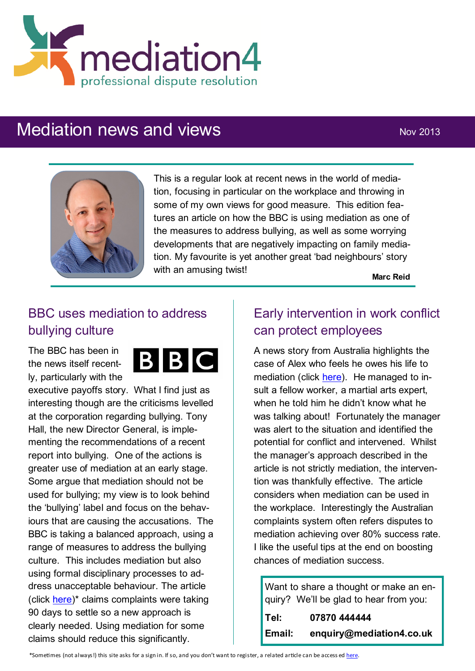

# Mediation news and views Nov 2013



This is a regular look at recent news in the world of mediation, focusing in particular on the workplace and throwing in some of my own views for good measure. This edition features an article on how the BBC is using mediation as one of the measures to address bullying, as well as some worrying developments that are negatively impacting on family mediation. My favourite is yet another great 'bad neighbours' story with an amusing twist!

**Marc Reid**

## BBC uses mediation to address bullying culture

The BBC has been in the news itself recently, particularly with the



executive payoffs story. What I find just as interesting though are the criticisms levelled at the corporation regarding bullying. Tony Hall, the new Director General, is implementing the recommendations of a recent report into bullying. One of the actions is greater use of mediation at an early stage. Some argue that mediation should not be used for bullying; my view is to look behind the 'bullying' label and focus on the behaviours that are causing the accusations. The BBC is taking a balanced approach, using a range of measures to address the bullying culture. This includes mediation but also using formal disciplinary processes to address unacceptable behaviour. The article (click [here\)](http://www.broadcastnow.co.uk/news/broadcasters/bullying-bbc-still-under-fire/5062831.article)\* claims complaints were taking 90 days to settle so a new approach is clearly needed. Using mediation for some claims should reduce this significantly.

## Early intervention in work conflict can protect employees

A news story from Australia highlights the case of Alex who feels he owes his life to mediation (click [here\)](http://www.smh.com.au/small-business/growing/does-mediation-work-20130820-2s8b7.html). He managed to insult a fellow worker, a martial arts expert, when he told him he didn't know what he was talking about! Fortunately the manager was alert to the situation and identified the potential for conflict and intervened. Whilst the manager's approach described in the article is not strictly mediation, the intervention was thankfully effective. The article considers when mediation can be used in the workplace. Interestingly the Australian complaints system often refers disputes to mediation achieving over 80% success rate. I like the useful tips at the end on boosting chances of mediation success.

| Want to share a thought or make an en- |                                        |
|----------------------------------------|----------------------------------------|
|                                        | quiry? We'll be glad to hear from you: |
| Tel:                                   | 07870 444444                           |
| Email:                                 | enguiry@mediation4.co.uk               |